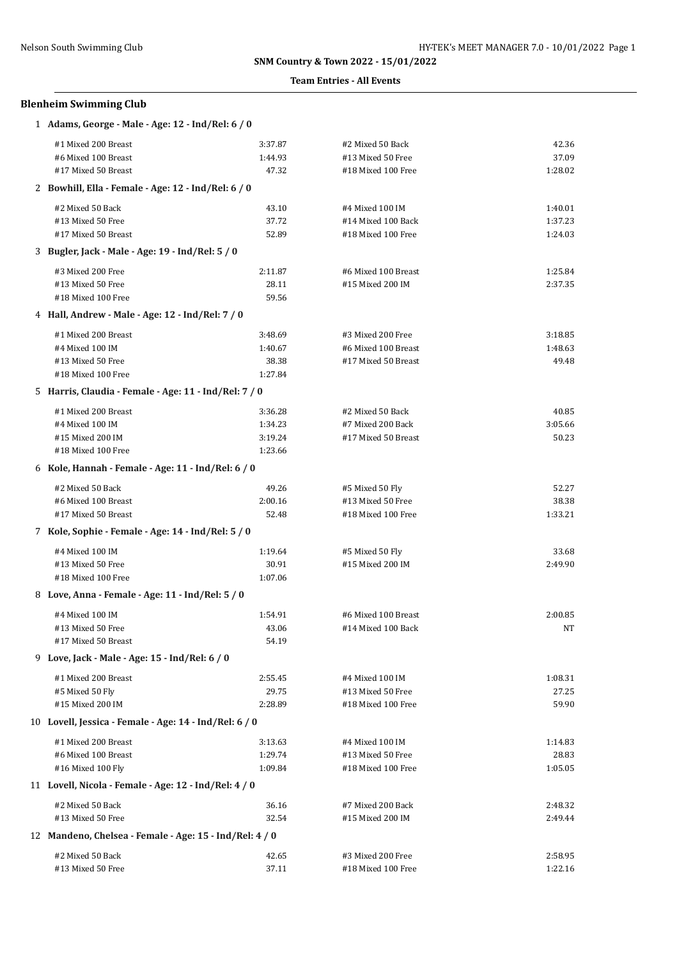### **Team Entries - All Events**

## **Blenheim Swimming Club**

| 1 Adams, George - Male - Age: 12 - Ind/Rel: 6 / 0       |         |                     |         |
|---------------------------------------------------------|---------|---------------------|---------|
| #1 Mixed 200 Breast                                     | 3:37.87 | #2 Mixed 50 Back    | 42.36   |
| #6 Mixed 100 Breast                                     | 1:44.93 | #13 Mixed 50 Free   | 37.09   |
| #17 Mixed 50 Breast                                     | 47.32   | #18 Mixed 100 Free  | 1:28.02 |
| 2 Bowhill, Ella - Female - Age: 12 - Ind/Rel: 6 / 0     |         |                     |         |
| #2 Mixed 50 Back                                        | 43.10   | #4 Mixed 100 IM     | 1:40.01 |
| #13 Mixed 50 Free                                       | 37.72   | #14 Mixed 100 Back  | 1:37.23 |
| #17 Mixed 50 Breast                                     | 52.89   | #18 Mixed 100 Free  | 1:24.03 |
| 3 Bugler, Jack - Male - Age: 19 - Ind/Rel: 5 / 0        |         |                     |         |
| #3 Mixed 200 Free                                       | 2:11.87 | #6 Mixed 100 Breast | 1:25.84 |
| #13 Mixed 50 Free                                       | 28.11   | #15 Mixed 200 IM    | 2:37.35 |
| #18 Mixed 100 Free                                      | 59.56   |                     |         |
| 4 Hall, Andrew - Male - Age: 12 - Ind/Rel: 7 / 0        |         |                     |         |
| #1 Mixed 200 Breast                                     | 3:48.69 | #3 Mixed 200 Free   | 3:18.85 |
| #4 Mixed 100 IM                                         | 1:40.67 | #6 Mixed 100 Breast | 1:48.63 |
| #13 Mixed 50 Free                                       | 38.38   | #17 Mixed 50 Breast | 49.48   |
| #18 Mixed 100 Free                                      | 1:27.84 |                     |         |
| 5 Harris, Claudia - Female - Age: 11 - Ind/Rel: 7 / 0   |         |                     |         |
| #1 Mixed 200 Breast                                     | 3:36.28 | #2 Mixed 50 Back    | 40.85   |
| #4 Mixed 100 IM                                         | 1:34.23 | #7 Mixed 200 Back   | 3:05.66 |
| #15 Mixed 200 IM                                        | 3:19.24 | #17 Mixed 50 Breast | 50.23   |
| #18 Mixed 100 Free                                      | 1:23.66 |                     |         |
| 6 Kole, Hannah - Female - Age: 11 - Ind/Rel: 6 / 0      |         |                     |         |
| #2 Mixed 50 Back                                        | 49.26   | #5 Mixed 50 Fly     | 52.27   |
| #6 Mixed 100 Breast                                     | 2:00.16 | #13 Mixed 50 Free   | 38.38   |
| #17 Mixed 50 Breast                                     | 52.48   | #18 Mixed 100 Free  | 1:33.21 |
| 7 Kole, Sophie - Female - Age: 14 - Ind/Rel: 5 / 0      |         |                     |         |
| #4 Mixed 100 IM                                         | 1:19.64 | #5 Mixed 50 Fly     | 33.68   |
| #13 Mixed 50 Free                                       | 30.91   | #15 Mixed 200 IM    | 2:49.90 |
| #18 Mixed 100 Free                                      | 1:07.06 |                     |         |
| 8 Love, Anna - Female - Age: 11 - Ind/Rel: 5 / 0        |         |                     |         |
| #4 Mixed 100 IM                                         | 1:54.91 | #6 Mixed 100 Breast | 2:00.85 |
| #13 Mixed 50 Free                                       | 43.06   | #14 Mixed 100 Back  | NT      |
| #17 Mixed 50 Breast                                     | 54.19   |                     |         |
| 9 Love, Jack - Male - Age: 15 - Ind/Rel: 6 / 0          |         |                     |         |
| #1 Mixed 200 Breast                                     | 2:55.45 | #4 Mixed 100 IM     | 1:08.31 |
| #5 Mixed 50 Fly                                         | 29.75   | #13 Mixed 50 Free   | 27.25   |
| #15 Mixed 200 IM                                        | 2:28.89 | #18 Mixed 100 Free  | 59.90   |
| 10 Lovell, Jessica - Female - Age: 14 - Ind/Rel: 6 / 0  |         |                     |         |
| #1 Mixed 200 Breast                                     | 3:13.63 | #4 Mixed 100 IM     | 1:14.83 |
| #6 Mixed 100 Breast                                     | 1:29.74 | #13 Mixed 50 Free   | 28.83   |
| #16 Mixed 100 Fly                                       | 1:09.84 | #18 Mixed 100 Free  | 1:05.05 |
| 11 Lovell, Nicola - Female - Age: 12 - Ind/Rel: 4 / 0   |         |                     |         |
| #2 Mixed 50 Back                                        | 36.16   | #7 Mixed 200 Back   | 2:48.32 |
| #13 Mixed 50 Free                                       | 32.54   | #15 Mixed 200 IM    | 2:49.44 |
| 12 Mandeno, Chelsea - Female - Age: 15 - Ind/Rel: 4 / 0 |         |                     |         |
| #2 Mixed 50 Back                                        | 42.65   | #3 Mixed 200 Free   | 2:58.95 |
| #13 Mixed 50 Free                                       | 37.11   | #18 Mixed 100 Free  | 1:22.16 |
|                                                         |         |                     |         |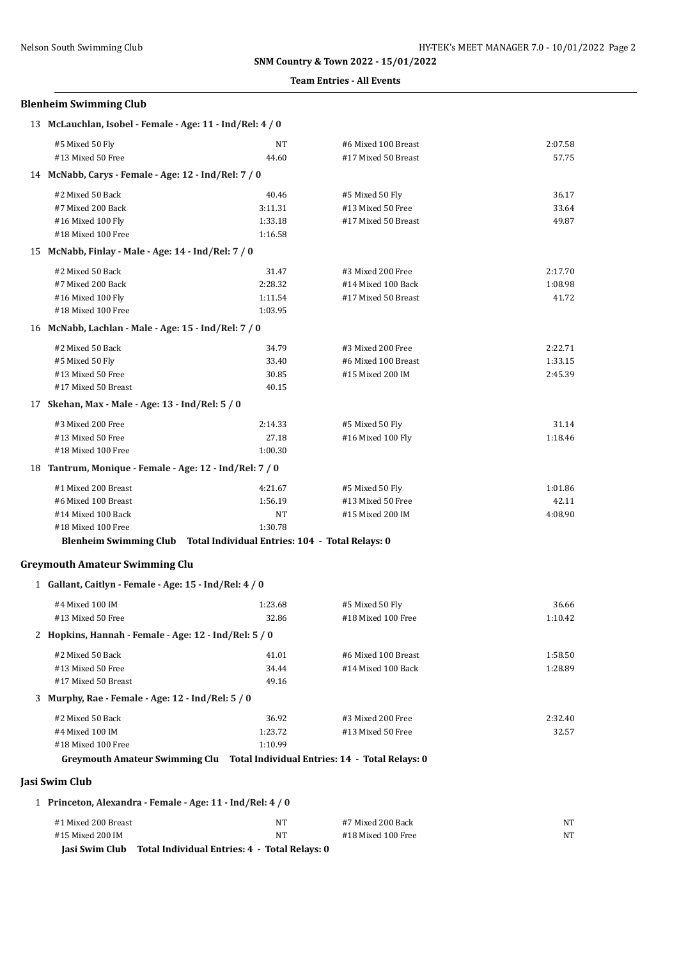#### **Team Entries - All Events**

## **Blenheim Swimming Club**

| #5 Mixed 50 Fly<br>#6 Mixed 100 Breast<br>NT<br>#13 Mixed 50 Free<br>#17 Mixed 50 Breast<br>44.60<br>14 McNabb, Carys - Female - Age: 12 - Ind/Rel: 7 / 0<br>#2 Mixed 50 Back<br>40.46<br>#5 Mixed 50 Fly<br>3:11.31<br>#7 Mixed 200 Back<br>#13 Mixed 50 Free<br>1:33.18<br>#17 Mixed 50 Breast<br>#16 Mixed 100 Fly<br>#18 Mixed 100 Free<br>1:16.58<br>15 McNabb, Finlay - Male - Age: 14 - Ind/Rel: 7 / 0<br>#2 Mixed 50 Back<br>31.47<br>#3 Mixed 200 Free<br>2:28.32<br>#7 Mixed 200 Back<br>#14 Mixed 100 Back<br>1:11.54<br>#17 Mixed 50 Breast<br>#16 Mixed 100 Fly<br>#18 Mixed 100 Free<br>1:03.95<br>16 McNabb, Lachlan - Male - Age: 15 - Ind/Rel: 7 / 0<br>#2 Mixed 50 Back<br>34.79<br>#3 Mixed 200 Free<br>#5 Mixed 50 Fly<br>33.40<br>#6 Mixed 100 Breast<br>#13 Mixed 50 Free<br>30.85<br>#15 Mixed 200 IM<br>#17 Mixed 50 Breast<br>40.15<br>17 Skehan, Max - Male - Age: 13 - Ind/Rel: 5 / 0<br>#3 Mixed 200 Free<br>2:14.33<br>#5 Mixed 50 Fly<br>#13 Mixed 50 Free<br>27.18<br>#16 Mixed 100 Fly<br>#18 Mixed 100 Free<br>1:00.30<br>18 Tantrum, Monique - Female - Age: 12 - Ind/Rel: 7 / 0<br>#1 Mixed 200 Breast<br>4:21.67<br>#5 Mixed 50 Fly<br>1:56.19<br>#6 Mixed 100 Breast<br>#13 Mixed 50 Free<br>#14 Mixed 100 Back<br>NT<br>#15 Mixed 200 IM<br>#18 Mixed 100 Free<br>1:30.78<br>Blenheim Swimming Club Total Individual Entries: 104 - Total Relays: 0<br><b>Greymouth Amateur Swimming Clu</b><br>1 Gallant, Caitlyn - Female - Age: 15 - Ind/Rel: 4 / 0<br>#4 Mixed 100 IM<br>1:23.68<br>#5 Mixed 50 Fly<br>#13 Mixed 50 Free<br>32.86<br>#18 Mixed 100 Free<br>2 Hopkins, Hannah - Female - Age: 12 - Ind/Rel: 5 / 0<br>#2 Mixed 50 Back<br>41.01<br>#6 Mixed 100 Breast<br>#13 Mixed 50 Free<br>34.44<br>#14 Mixed 100 Back<br>#17 Mixed 50 Breast<br>49.16<br>3 Murphy, Rae - Female - Age: 12 - Ind/Rel: 5 / 0<br>36.92<br>#2 Mixed 50 Back<br>#3 Mixed 200 Free<br>1:23.72<br>#4 Mixed 100 IM<br>#13 Mixed 50 Free<br>#18 Mixed 100 Free<br>1:10.99<br>Greymouth Amateur Swimming Clu Total Individual Entries: 14 - Total Relays: 0<br>Jasi Swim Club<br>1 Princeton, Alexandra - Female - Age: 11 - Ind/Rel: 4 / 0 | 13 McLauchlan, Isobel - Female - Age: 11 - Ind/Rel: 4 / 0 |  |         |
|----------------------------------------------------------------------------------------------------------------------------------------------------------------------------------------------------------------------------------------------------------------------------------------------------------------------------------------------------------------------------------------------------------------------------------------------------------------------------------------------------------------------------------------------------------------------------------------------------------------------------------------------------------------------------------------------------------------------------------------------------------------------------------------------------------------------------------------------------------------------------------------------------------------------------------------------------------------------------------------------------------------------------------------------------------------------------------------------------------------------------------------------------------------------------------------------------------------------------------------------------------------------------------------------------------------------------------------------------------------------------------------------------------------------------------------------------------------------------------------------------------------------------------------------------------------------------------------------------------------------------------------------------------------------------------------------------------------------------------------------------------------------------------------------------------------------------------------------------------------------------------------------------------------------------------------------------------------------------------------------------------------------------------------------------------------------------------------------------------------------------------------------------------------|-----------------------------------------------------------|--|---------|
|                                                                                                                                                                                                                                                                                                                                                                                                                                                                                                                                                                                                                                                                                                                                                                                                                                                                                                                                                                                                                                                                                                                                                                                                                                                                                                                                                                                                                                                                                                                                                                                                                                                                                                                                                                                                                                                                                                                                                                                                                                                                                                                                                                |                                                           |  | 2:07.58 |
|                                                                                                                                                                                                                                                                                                                                                                                                                                                                                                                                                                                                                                                                                                                                                                                                                                                                                                                                                                                                                                                                                                                                                                                                                                                                                                                                                                                                                                                                                                                                                                                                                                                                                                                                                                                                                                                                                                                                                                                                                                                                                                                                                                |                                                           |  | 57.75   |
|                                                                                                                                                                                                                                                                                                                                                                                                                                                                                                                                                                                                                                                                                                                                                                                                                                                                                                                                                                                                                                                                                                                                                                                                                                                                                                                                                                                                                                                                                                                                                                                                                                                                                                                                                                                                                                                                                                                                                                                                                                                                                                                                                                |                                                           |  |         |
|                                                                                                                                                                                                                                                                                                                                                                                                                                                                                                                                                                                                                                                                                                                                                                                                                                                                                                                                                                                                                                                                                                                                                                                                                                                                                                                                                                                                                                                                                                                                                                                                                                                                                                                                                                                                                                                                                                                                                                                                                                                                                                                                                                |                                                           |  | 36.17   |
|                                                                                                                                                                                                                                                                                                                                                                                                                                                                                                                                                                                                                                                                                                                                                                                                                                                                                                                                                                                                                                                                                                                                                                                                                                                                                                                                                                                                                                                                                                                                                                                                                                                                                                                                                                                                                                                                                                                                                                                                                                                                                                                                                                |                                                           |  | 33.64   |
|                                                                                                                                                                                                                                                                                                                                                                                                                                                                                                                                                                                                                                                                                                                                                                                                                                                                                                                                                                                                                                                                                                                                                                                                                                                                                                                                                                                                                                                                                                                                                                                                                                                                                                                                                                                                                                                                                                                                                                                                                                                                                                                                                                |                                                           |  | 49.87   |
|                                                                                                                                                                                                                                                                                                                                                                                                                                                                                                                                                                                                                                                                                                                                                                                                                                                                                                                                                                                                                                                                                                                                                                                                                                                                                                                                                                                                                                                                                                                                                                                                                                                                                                                                                                                                                                                                                                                                                                                                                                                                                                                                                                |                                                           |  |         |
|                                                                                                                                                                                                                                                                                                                                                                                                                                                                                                                                                                                                                                                                                                                                                                                                                                                                                                                                                                                                                                                                                                                                                                                                                                                                                                                                                                                                                                                                                                                                                                                                                                                                                                                                                                                                                                                                                                                                                                                                                                                                                                                                                                |                                                           |  |         |
|                                                                                                                                                                                                                                                                                                                                                                                                                                                                                                                                                                                                                                                                                                                                                                                                                                                                                                                                                                                                                                                                                                                                                                                                                                                                                                                                                                                                                                                                                                                                                                                                                                                                                                                                                                                                                                                                                                                                                                                                                                                                                                                                                                |                                                           |  | 2:17.70 |
|                                                                                                                                                                                                                                                                                                                                                                                                                                                                                                                                                                                                                                                                                                                                                                                                                                                                                                                                                                                                                                                                                                                                                                                                                                                                                                                                                                                                                                                                                                                                                                                                                                                                                                                                                                                                                                                                                                                                                                                                                                                                                                                                                                |                                                           |  | 1:08.98 |
|                                                                                                                                                                                                                                                                                                                                                                                                                                                                                                                                                                                                                                                                                                                                                                                                                                                                                                                                                                                                                                                                                                                                                                                                                                                                                                                                                                                                                                                                                                                                                                                                                                                                                                                                                                                                                                                                                                                                                                                                                                                                                                                                                                |                                                           |  | 41.72   |
|                                                                                                                                                                                                                                                                                                                                                                                                                                                                                                                                                                                                                                                                                                                                                                                                                                                                                                                                                                                                                                                                                                                                                                                                                                                                                                                                                                                                                                                                                                                                                                                                                                                                                                                                                                                                                                                                                                                                                                                                                                                                                                                                                                |                                                           |  |         |
|                                                                                                                                                                                                                                                                                                                                                                                                                                                                                                                                                                                                                                                                                                                                                                                                                                                                                                                                                                                                                                                                                                                                                                                                                                                                                                                                                                                                                                                                                                                                                                                                                                                                                                                                                                                                                                                                                                                                                                                                                                                                                                                                                                |                                                           |  |         |
|                                                                                                                                                                                                                                                                                                                                                                                                                                                                                                                                                                                                                                                                                                                                                                                                                                                                                                                                                                                                                                                                                                                                                                                                                                                                                                                                                                                                                                                                                                                                                                                                                                                                                                                                                                                                                                                                                                                                                                                                                                                                                                                                                                |                                                           |  | 2:22.71 |
|                                                                                                                                                                                                                                                                                                                                                                                                                                                                                                                                                                                                                                                                                                                                                                                                                                                                                                                                                                                                                                                                                                                                                                                                                                                                                                                                                                                                                                                                                                                                                                                                                                                                                                                                                                                                                                                                                                                                                                                                                                                                                                                                                                |                                                           |  | 1:33.15 |
|                                                                                                                                                                                                                                                                                                                                                                                                                                                                                                                                                                                                                                                                                                                                                                                                                                                                                                                                                                                                                                                                                                                                                                                                                                                                                                                                                                                                                                                                                                                                                                                                                                                                                                                                                                                                                                                                                                                                                                                                                                                                                                                                                                |                                                           |  | 2:45.39 |
|                                                                                                                                                                                                                                                                                                                                                                                                                                                                                                                                                                                                                                                                                                                                                                                                                                                                                                                                                                                                                                                                                                                                                                                                                                                                                                                                                                                                                                                                                                                                                                                                                                                                                                                                                                                                                                                                                                                                                                                                                                                                                                                                                                |                                                           |  |         |
|                                                                                                                                                                                                                                                                                                                                                                                                                                                                                                                                                                                                                                                                                                                                                                                                                                                                                                                                                                                                                                                                                                                                                                                                                                                                                                                                                                                                                                                                                                                                                                                                                                                                                                                                                                                                                                                                                                                                                                                                                                                                                                                                                                |                                                           |  |         |
|                                                                                                                                                                                                                                                                                                                                                                                                                                                                                                                                                                                                                                                                                                                                                                                                                                                                                                                                                                                                                                                                                                                                                                                                                                                                                                                                                                                                                                                                                                                                                                                                                                                                                                                                                                                                                                                                                                                                                                                                                                                                                                                                                                |                                                           |  | 31.14   |
|                                                                                                                                                                                                                                                                                                                                                                                                                                                                                                                                                                                                                                                                                                                                                                                                                                                                                                                                                                                                                                                                                                                                                                                                                                                                                                                                                                                                                                                                                                                                                                                                                                                                                                                                                                                                                                                                                                                                                                                                                                                                                                                                                                |                                                           |  | 1:18.46 |
|                                                                                                                                                                                                                                                                                                                                                                                                                                                                                                                                                                                                                                                                                                                                                                                                                                                                                                                                                                                                                                                                                                                                                                                                                                                                                                                                                                                                                                                                                                                                                                                                                                                                                                                                                                                                                                                                                                                                                                                                                                                                                                                                                                |                                                           |  |         |
|                                                                                                                                                                                                                                                                                                                                                                                                                                                                                                                                                                                                                                                                                                                                                                                                                                                                                                                                                                                                                                                                                                                                                                                                                                                                                                                                                                                                                                                                                                                                                                                                                                                                                                                                                                                                                                                                                                                                                                                                                                                                                                                                                                |                                                           |  |         |
|                                                                                                                                                                                                                                                                                                                                                                                                                                                                                                                                                                                                                                                                                                                                                                                                                                                                                                                                                                                                                                                                                                                                                                                                                                                                                                                                                                                                                                                                                                                                                                                                                                                                                                                                                                                                                                                                                                                                                                                                                                                                                                                                                                |                                                           |  | 1:01.86 |
|                                                                                                                                                                                                                                                                                                                                                                                                                                                                                                                                                                                                                                                                                                                                                                                                                                                                                                                                                                                                                                                                                                                                                                                                                                                                                                                                                                                                                                                                                                                                                                                                                                                                                                                                                                                                                                                                                                                                                                                                                                                                                                                                                                |                                                           |  | 42.11   |
|                                                                                                                                                                                                                                                                                                                                                                                                                                                                                                                                                                                                                                                                                                                                                                                                                                                                                                                                                                                                                                                                                                                                                                                                                                                                                                                                                                                                                                                                                                                                                                                                                                                                                                                                                                                                                                                                                                                                                                                                                                                                                                                                                                |                                                           |  | 4:08.90 |
|                                                                                                                                                                                                                                                                                                                                                                                                                                                                                                                                                                                                                                                                                                                                                                                                                                                                                                                                                                                                                                                                                                                                                                                                                                                                                                                                                                                                                                                                                                                                                                                                                                                                                                                                                                                                                                                                                                                                                                                                                                                                                                                                                                |                                                           |  |         |
|                                                                                                                                                                                                                                                                                                                                                                                                                                                                                                                                                                                                                                                                                                                                                                                                                                                                                                                                                                                                                                                                                                                                                                                                                                                                                                                                                                                                                                                                                                                                                                                                                                                                                                                                                                                                                                                                                                                                                                                                                                                                                                                                                                |                                                           |  |         |
|                                                                                                                                                                                                                                                                                                                                                                                                                                                                                                                                                                                                                                                                                                                                                                                                                                                                                                                                                                                                                                                                                                                                                                                                                                                                                                                                                                                                                                                                                                                                                                                                                                                                                                                                                                                                                                                                                                                                                                                                                                                                                                                                                                |                                                           |  |         |
|                                                                                                                                                                                                                                                                                                                                                                                                                                                                                                                                                                                                                                                                                                                                                                                                                                                                                                                                                                                                                                                                                                                                                                                                                                                                                                                                                                                                                                                                                                                                                                                                                                                                                                                                                                                                                                                                                                                                                                                                                                                                                                                                                                |                                                           |  |         |
|                                                                                                                                                                                                                                                                                                                                                                                                                                                                                                                                                                                                                                                                                                                                                                                                                                                                                                                                                                                                                                                                                                                                                                                                                                                                                                                                                                                                                                                                                                                                                                                                                                                                                                                                                                                                                                                                                                                                                                                                                                                                                                                                                                |                                                           |  | 36.66   |
|                                                                                                                                                                                                                                                                                                                                                                                                                                                                                                                                                                                                                                                                                                                                                                                                                                                                                                                                                                                                                                                                                                                                                                                                                                                                                                                                                                                                                                                                                                                                                                                                                                                                                                                                                                                                                                                                                                                                                                                                                                                                                                                                                                |                                                           |  | 1:10.42 |
|                                                                                                                                                                                                                                                                                                                                                                                                                                                                                                                                                                                                                                                                                                                                                                                                                                                                                                                                                                                                                                                                                                                                                                                                                                                                                                                                                                                                                                                                                                                                                                                                                                                                                                                                                                                                                                                                                                                                                                                                                                                                                                                                                                |                                                           |  |         |
|                                                                                                                                                                                                                                                                                                                                                                                                                                                                                                                                                                                                                                                                                                                                                                                                                                                                                                                                                                                                                                                                                                                                                                                                                                                                                                                                                                                                                                                                                                                                                                                                                                                                                                                                                                                                                                                                                                                                                                                                                                                                                                                                                                |                                                           |  | 1:58.50 |
|                                                                                                                                                                                                                                                                                                                                                                                                                                                                                                                                                                                                                                                                                                                                                                                                                                                                                                                                                                                                                                                                                                                                                                                                                                                                                                                                                                                                                                                                                                                                                                                                                                                                                                                                                                                                                                                                                                                                                                                                                                                                                                                                                                |                                                           |  | 1:28.89 |
|                                                                                                                                                                                                                                                                                                                                                                                                                                                                                                                                                                                                                                                                                                                                                                                                                                                                                                                                                                                                                                                                                                                                                                                                                                                                                                                                                                                                                                                                                                                                                                                                                                                                                                                                                                                                                                                                                                                                                                                                                                                                                                                                                                |                                                           |  |         |
|                                                                                                                                                                                                                                                                                                                                                                                                                                                                                                                                                                                                                                                                                                                                                                                                                                                                                                                                                                                                                                                                                                                                                                                                                                                                                                                                                                                                                                                                                                                                                                                                                                                                                                                                                                                                                                                                                                                                                                                                                                                                                                                                                                |                                                           |  |         |
|                                                                                                                                                                                                                                                                                                                                                                                                                                                                                                                                                                                                                                                                                                                                                                                                                                                                                                                                                                                                                                                                                                                                                                                                                                                                                                                                                                                                                                                                                                                                                                                                                                                                                                                                                                                                                                                                                                                                                                                                                                                                                                                                                                |                                                           |  | 2:32.40 |
|                                                                                                                                                                                                                                                                                                                                                                                                                                                                                                                                                                                                                                                                                                                                                                                                                                                                                                                                                                                                                                                                                                                                                                                                                                                                                                                                                                                                                                                                                                                                                                                                                                                                                                                                                                                                                                                                                                                                                                                                                                                                                                                                                                |                                                           |  | 32.57   |
|                                                                                                                                                                                                                                                                                                                                                                                                                                                                                                                                                                                                                                                                                                                                                                                                                                                                                                                                                                                                                                                                                                                                                                                                                                                                                                                                                                                                                                                                                                                                                                                                                                                                                                                                                                                                                                                                                                                                                                                                                                                                                                                                                                |                                                           |  |         |
|                                                                                                                                                                                                                                                                                                                                                                                                                                                                                                                                                                                                                                                                                                                                                                                                                                                                                                                                                                                                                                                                                                                                                                                                                                                                                                                                                                                                                                                                                                                                                                                                                                                                                                                                                                                                                                                                                                                                                                                                                                                                                                                                                                |                                                           |  |         |
|                                                                                                                                                                                                                                                                                                                                                                                                                                                                                                                                                                                                                                                                                                                                                                                                                                                                                                                                                                                                                                                                                                                                                                                                                                                                                                                                                                                                                                                                                                                                                                                                                                                                                                                                                                                                                                                                                                                                                                                                                                                                                                                                                                |                                                           |  |         |
|                                                                                                                                                                                                                                                                                                                                                                                                                                                                                                                                                                                                                                                                                                                                                                                                                                                                                                                                                                                                                                                                                                                                                                                                                                                                                                                                                                                                                                                                                                                                                                                                                                                                                                                                                                                                                                                                                                                                                                                                                                                                                                                                                                |                                                           |  |         |
| #1 Mixed 200 Breast<br>NT<br>#7 Mixed 200 Back                                                                                                                                                                                                                                                                                                                                                                                                                                                                                                                                                                                                                                                                                                                                                                                                                                                                                                                                                                                                                                                                                                                                                                                                                                                                                                                                                                                                                                                                                                                                                                                                                                                                                                                                                                                                                                                                                                                                                                                                                                                                                                                 |                                                           |  | NT      |
| #15 Mixed 200 IM<br>NT<br>#18 Mixed 100 Free                                                                                                                                                                                                                                                                                                                                                                                                                                                                                                                                                                                                                                                                                                                                                                                                                                                                                                                                                                                                                                                                                                                                                                                                                                                                                                                                                                                                                                                                                                                                                                                                                                                                                                                                                                                                                                                                                                                                                                                                                                                                                                                   |                                                           |  | NT      |
| Jasi Swim Club<br>Total Individual Entries: 4 - Total Relays: 0                                                                                                                                                                                                                                                                                                                                                                                                                                                                                                                                                                                                                                                                                                                                                                                                                                                                                                                                                                                                                                                                                                                                                                                                                                                                                                                                                                                                                                                                                                                                                                                                                                                                                                                                                                                                                                                                                                                                                                                                                                                                                                |                                                           |  |         |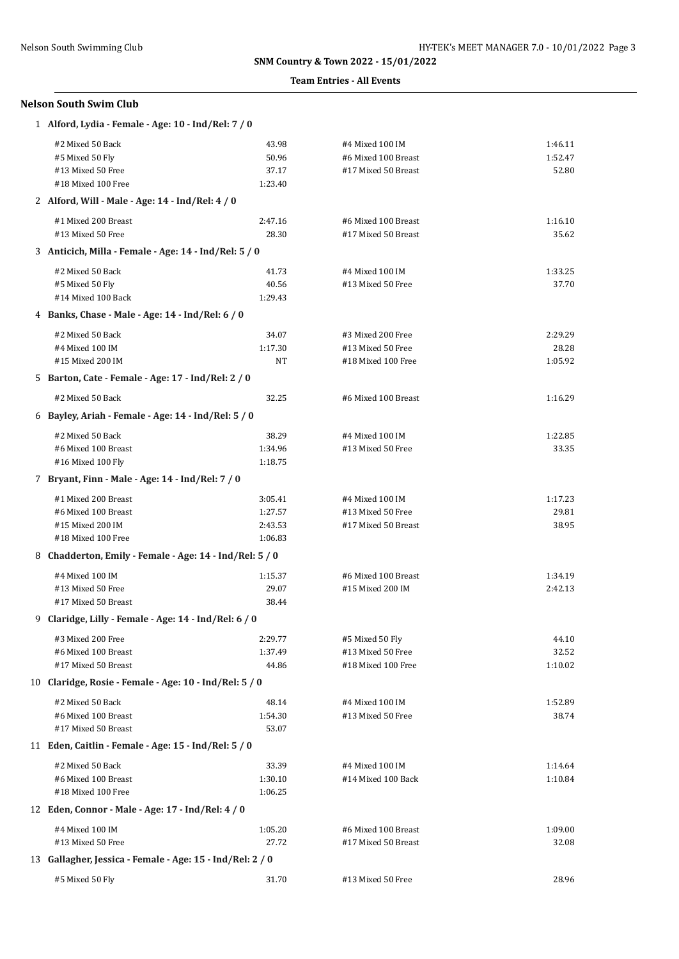### **Team Entries - All Events**

## **Nelson South Swim Club**

| 1 Alford, Lydia - Female - Age: 10 - Ind/Rel: 7 / 0       |         |                     |         |
|-----------------------------------------------------------|---------|---------------------|---------|
| #2 Mixed 50 Back                                          | 43.98   | #4 Mixed 100 IM     | 1:46.11 |
| #5 Mixed 50 Fly                                           | 50.96   | #6 Mixed 100 Breast | 1:52.47 |
| #13 Mixed 50 Free                                         | 37.17   | #17 Mixed 50 Breast | 52.80   |
| #18 Mixed 100 Free                                        | 1:23.40 |                     |         |
| 2 Alford, Will - Male - Age: 14 - Ind/Rel: 4 / 0          |         |                     |         |
| #1 Mixed 200 Breast                                       | 2:47.16 | #6 Mixed 100 Breast | 1:16.10 |
| #13 Mixed 50 Free                                         | 28.30   | #17 Mixed 50 Breast | 35.62   |
| 3 Anticich, Milla - Female - Age: 14 - Ind/Rel: 5 / 0     |         |                     |         |
| #2 Mixed 50 Back                                          | 41.73   | #4 Mixed 100 IM     | 1:33.25 |
| #5 Mixed 50 Fly                                           | 40.56   | #13 Mixed 50 Free   | 37.70   |
| #14 Mixed 100 Back                                        | 1:29.43 |                     |         |
| 4 Banks, Chase - Male - Age: 14 - Ind/Rel: 6 / 0          |         |                     |         |
| #2 Mixed 50 Back                                          | 34.07   | #3 Mixed 200 Free   | 2:29.29 |
| #4 Mixed 100 IM                                           | 1:17.30 | #13 Mixed 50 Free   | 28.28   |
| #15 Mixed 200 IM                                          | NT      | #18 Mixed 100 Free  | 1:05.92 |
| 5 Barton, Cate - Female - Age: 17 - Ind/Rel: 2 / 0        |         |                     |         |
| #2 Mixed 50 Back                                          | 32.25   | #6 Mixed 100 Breast | 1:16.29 |
| 6 Bayley, Ariah - Female - Age: 14 - Ind/Rel: 5 / 0       |         |                     |         |
| #2 Mixed 50 Back                                          | 38.29   | #4 Mixed 100 IM     | 1:22.85 |
| #6 Mixed 100 Breast                                       | 1:34.96 | #13 Mixed 50 Free   | 33.35   |
| #16 Mixed 100 Fly                                         | 1:18.75 |                     |         |
| 7 Bryant, Finn - Male - Age: 14 - Ind/Rel: 7 / 0          |         |                     |         |
| #1 Mixed 200 Breast                                       | 3:05.41 | #4 Mixed 100 IM     | 1:17.23 |
| #6 Mixed 100 Breast                                       | 1:27.57 | #13 Mixed 50 Free   | 29.81   |
| #15 Mixed 200 IM                                          | 2:43.53 | #17 Mixed 50 Breast | 38.95   |
| #18 Mixed 100 Free                                        | 1:06.83 |                     |         |
| 8 Chadderton, Emily - Female - Age: 14 - Ind/Rel: 5 / 0   |         |                     |         |
| #4 Mixed 100 IM                                           | 1:15.37 | #6 Mixed 100 Breast | 1:34.19 |
| #13 Mixed 50 Free                                         | 29.07   | #15 Mixed 200 IM    | 2:42.13 |
| #17 Mixed 50 Breast                                       | 38.44   |                     |         |
| 9 Claridge, Lilly - Female - Age: 14 - Ind/Rel: 6 / 0     |         |                     |         |
| #3 Mixed 200 Free                                         | 2:29.77 | #5 Mixed 50 Fly     | 44.10   |
| #6 Mixed 100 Breast                                       | 1:37.49 | #13 Mixed 50 Free   | 32.52   |
| #17 Mixed 50 Breast                                       | 44.86   | #18 Mixed 100 Free  | 1:10.02 |
| 10 Claridge, Rosie - Female - Age: 10 - Ind/Rel: 5 / 0    |         |                     |         |
| #2 Mixed 50 Back                                          | 48.14   | #4 Mixed 100 IM     | 1:52.89 |
| #6 Mixed 100 Breast                                       | 1:54.30 | #13 Mixed 50 Free   | 38.74   |
| #17 Mixed 50 Breast                                       | 53.07   |                     |         |
| 11 Eden, Caitlin - Female - Age: 15 - Ind/Rel: 5 / 0      |         |                     |         |
| #2 Mixed 50 Back                                          | 33.39   | #4 Mixed 100 IM     | 1:14.64 |
| #6 Mixed 100 Breast                                       | 1:30.10 | #14 Mixed 100 Back  | 1:10.84 |
| #18 Mixed 100 Free                                        | 1:06.25 |                     |         |
| 12 Eden, Connor - Male - Age: 17 - Ind/Rel: 4 / 0         |         |                     |         |
| #4 Mixed 100 IM                                           | 1:05.20 | #6 Mixed 100 Breast | 1:09.00 |
| #13 Mixed 50 Free                                         | 27.72   | #17 Mixed 50 Breast | 32.08   |
| 13 Gallagher, Jessica - Female - Age: 15 - Ind/Rel: 2 / 0 |         |                     |         |
| #5 Mixed 50 Fly                                           | 31.70   | #13 Mixed 50 Free   | 28.96   |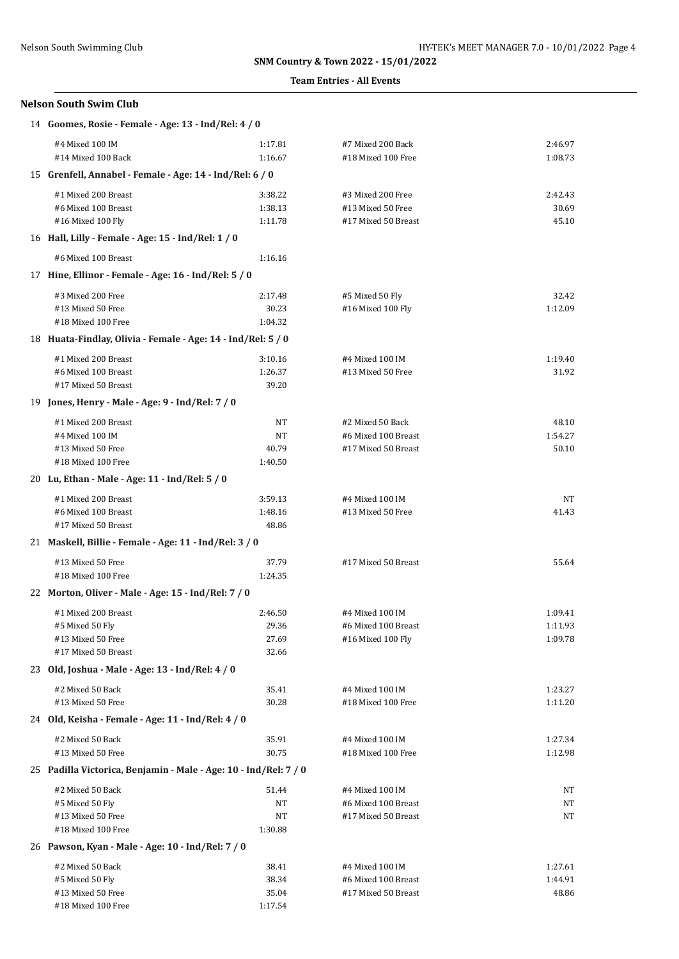### **Team Entries - All Events**

| Nelson South Swim Club |  |
|------------------------|--|
|------------------------|--|

| 14 Goomes, Rosie - Female - Age: 13 - Ind/Rel: 4 / 0             |         |                     |         |
|------------------------------------------------------------------|---------|---------------------|---------|
| #4 Mixed 100 IM                                                  | 1:17.81 | #7 Mixed 200 Back   | 2:46.97 |
| #14 Mixed 100 Back                                               | 1:16.67 | #18 Mixed 100 Free  | 1:08.73 |
| 15 Grenfell, Annabel - Female - Age: 14 - Ind/Rel: 6 / 0         |         |                     |         |
| #1 Mixed 200 Breast                                              | 3:38.22 | #3 Mixed 200 Free   | 2:42.43 |
| #6 Mixed 100 Breast                                              | 1:38.13 | #13 Mixed 50 Free   | 30.69   |
| #16 Mixed 100 Fly                                                | 1:11.78 | #17 Mixed 50 Breast | 45.10   |
| 16 Hall, Lilly - Female - Age: 15 - Ind/Rel: 1 / 0               |         |                     |         |
| #6 Mixed 100 Breast                                              | 1:16.16 |                     |         |
| 17 Hine, Ellinor - Female - Age: 16 - Ind/Rel: 5 / 0             |         |                     |         |
| #3 Mixed 200 Free                                                | 2:17.48 | #5 Mixed 50 Fly     | 32.42   |
| #13 Mixed 50 Free                                                | 30.23   | #16 Mixed 100 Fly   | 1:12.09 |
| #18 Mixed 100 Free                                               | 1:04.32 |                     |         |
| 18 Huata-Findlay, Olivia - Female - Age: 14 - Ind/Rel: 5 / 0     |         |                     |         |
| #1 Mixed 200 Breast                                              | 3:10.16 | #4 Mixed 100 IM     | 1:19.40 |
| #6 Mixed 100 Breast                                              | 1:26.37 | #13 Mixed 50 Free   | 31.92   |
| #17 Mixed 50 Breast                                              | 39.20   |                     |         |
| 19 Jones, Henry - Male - Age: 9 - Ind/Rel: 7 / 0                 |         |                     |         |
| #1 Mixed 200 Breast                                              | NT      | #2 Mixed 50 Back    | 48.10   |
| #4 Mixed 100 IM                                                  | NΤ      | #6 Mixed 100 Breast | 1:54.27 |
| #13 Mixed 50 Free                                                | 40.79   | #17 Mixed 50 Breast | 50.10   |
| #18 Mixed 100 Free                                               | 1:40.50 |                     |         |
| 20 Lu, Ethan - Male - Age: 11 - Ind/Rel: 5 / 0                   |         |                     |         |
| #1 Mixed 200 Breast                                              | 3:59.13 | #4 Mixed 100 IM     | NΤ      |
| #6 Mixed 100 Breast                                              | 1:48.16 | #13 Mixed 50 Free   | 41.43   |
| #17 Mixed 50 Breast                                              | 48.86   |                     |         |
| 21 Maskell, Billie - Female - Age: 11 - Ind/Rel: 3 / 0           |         |                     |         |
| #13 Mixed 50 Free                                                | 37.79   | #17 Mixed 50 Breast | 55.64   |
| #18 Mixed 100 Free                                               | 1:24.35 |                     |         |
| 22 Morton, Oliver - Male - Age: 15 - Ind/Rel: 7 / 0              |         |                     |         |
| #1 Mixed 200 Breast                                              | 2:46.50 | #4 Mixed 100 IM     | 1:09.41 |
| #5 Mixed 50 Fly                                                  | 29.36   | #6 Mixed 100 Breast | 1:11.93 |
| #13 Mixed 50 Free                                                | 27.69   | #16 Mixed 100 Fly   | 1:09.78 |
| #17 Mixed 50 Breast                                              | 32.66   |                     |         |
| 23 Old, Joshua - Male - Age: 13 - Ind/Rel: 4 / 0                 |         |                     |         |
| #2 Mixed 50 Back                                                 | 35.41   | #4 Mixed 100 IM     | 1:23.27 |
| #13 Mixed 50 Free                                                | 30.28   | #18 Mixed 100 Free  | 1:11.20 |
| 24 Old, Keisha - Female - Age: 11 - Ind/Rel: 4 / 0               |         |                     |         |
| #2 Mixed 50 Back                                                 | 35.91   | #4 Mixed 100 IM     | 1:27.34 |
| #13 Mixed 50 Free                                                | 30.75   | #18 Mixed 100 Free  | 1:12.98 |
| 25 Padilla Victorica, Benjamin - Male - Age: 10 - Ind/Rel: 7 / 0 |         |                     |         |
| #2 Mixed 50 Back                                                 | 51.44   | #4 Mixed 100 IM     | NT      |
| #5 Mixed 50 Fly                                                  | NT      | #6 Mixed 100 Breast | NT      |
| #13 Mixed 50 Free                                                | NT      | #17 Mixed 50 Breast | NT      |
| #18 Mixed 100 Free                                               | 1:30.88 |                     |         |
| 26 Pawson, Kyan - Male - Age: 10 - Ind/Rel: 7 / 0                |         |                     |         |
| #2 Mixed 50 Back                                                 | 38.41   | #4 Mixed 100 IM     | 1:27.61 |
| #5 Mixed 50 Fly                                                  | 38.34   | #6 Mixed 100 Breast | 1:44.91 |
| #13 Mixed 50 Free                                                | 35.04   | #17 Mixed 50 Breast | 48.86   |
| #18 Mixed 100 Free                                               | 1:17.54 |                     |         |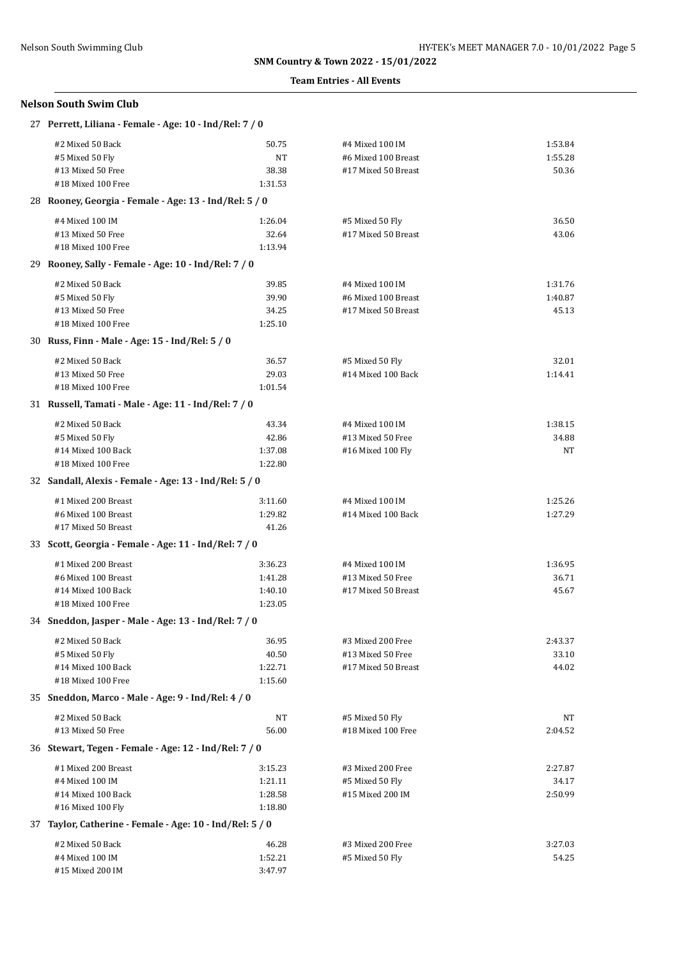### **Team Entries - All Events**

## **Nelson South Swim Club**

| 27 Perrett, Liliana - Female - Age: 10 - Ind/Rel: 7 / 0  |                  |                                          |                |  |
|----------------------------------------------------------|------------------|------------------------------------------|----------------|--|
| #2 Mixed 50 Back                                         | 50.75            | #4 Mixed 100 IM                          | 1:53.84        |  |
| #5 Mixed 50 Fly                                          | <b>NT</b>        | #6 Mixed 100 Breast                      | 1:55.28        |  |
| #13 Mixed 50 Free                                        | 38.38            | #17 Mixed 50 Breast                      | 50.36          |  |
| #18 Mixed 100 Free                                       | 1:31.53          |                                          |                |  |
| 28 Rooney, Georgia - Female - Age: 13 - Ind/Rel: 5 / 0   |                  |                                          |                |  |
| #4 Mixed 100 IM                                          | 1:26.04          | #5 Mixed 50 Fly                          | 36.50          |  |
| #13 Mixed 50 Free                                        | 32.64            | #17 Mixed 50 Breast                      | 43.06          |  |
| #18 Mixed 100 Free                                       | 1:13.94          |                                          |                |  |
| 29 Rooney, Sally - Female - Age: 10 - Ind/Rel: 7 / 0     |                  |                                          |                |  |
| #2 Mixed 50 Back                                         | 39.85            | #4 Mixed 100 IM                          | 1:31.76        |  |
| #5 Mixed 50 Fly                                          | 39.90            | #6 Mixed 100 Breast                      | 1:40.87        |  |
| #13 Mixed 50 Free                                        | 34.25            | #17 Mixed 50 Breast                      | 45.13          |  |
| #18 Mixed 100 Free                                       | 1:25.10          |                                          |                |  |
| 30 Russ, Finn - Male - Age: 15 - Ind/Rel: 5 / 0          |                  |                                          |                |  |
| #2 Mixed 50 Back                                         | 36.57            | #5 Mixed 50 Fly                          | 32.01          |  |
| #13 Mixed 50 Free                                        | 29.03            | #14 Mixed 100 Back                       | 1:14.41        |  |
| #18 Mixed 100 Free                                       | 1:01.54          |                                          |                |  |
| 31 Russell, Tamati - Male - Age: 11 - Ind/Rel: 7 / 0     |                  |                                          |                |  |
| #2 Mixed 50 Back                                         | 43.34            | #4 Mixed 100 IM                          | 1:38.15        |  |
| #5 Mixed 50 Fly                                          | 42.86            | #13 Mixed 50 Free                        | 34.88          |  |
| #14 Mixed 100 Back                                       | 1:37.08          | #16 Mixed 100 Fly                        | NT             |  |
| #18 Mixed 100 Free                                       | 1:22.80          |                                          |                |  |
| 32 Sandall, Alexis - Female - Age: 13 - Ind/Rel: 5 / 0   |                  |                                          |                |  |
| #1 Mixed 200 Breast                                      | 3:11.60          | #4 Mixed 100 IM                          | 1:25.26        |  |
| #6 Mixed 100 Breast                                      | 1:29.82          | #14 Mixed 100 Back                       | 1:27.29        |  |
| #17 Mixed 50 Breast                                      | 41.26            |                                          |                |  |
| 33 Scott, Georgia - Female - Age: 11 - Ind/Rel: 7 / 0    |                  |                                          |                |  |
| #1 Mixed 200 Breast                                      | 3:36.23          | #4 Mixed 100 IM                          | 1:36.95        |  |
| #6 Mixed 100 Breast                                      | 1:41.28          | #13 Mixed 50 Free                        | 36.71          |  |
| #14 Mixed 100 Back<br>#18 Mixed 100 Free                 | 1:40.10          | #17 Mixed 50 Breast                      | 45.67          |  |
| 34 Sneddon, Jasper - Male - Age: 13 - Ind/Rel: 7 / 0     | 1:23.05          |                                          |                |  |
|                                                          |                  |                                          |                |  |
| #2 Mixed 50 Back                                         | 36.95            | #3 Mixed 200 Free                        | 2:43.37        |  |
| #5 Mixed 50 Fly<br>#14 Mixed 100 Back                    | 40.50<br>1:22.71 | #13 Mixed 50 Free<br>#17 Mixed 50 Breast | 33.10<br>44.02 |  |
| #18 Mixed 100 Free                                       | 1:15.60          |                                          |                |  |
| 35 Sneddon, Marco - Male - Age: 9 - Ind/Rel: 4 / 0       |                  |                                          |                |  |
| #2 Mixed 50 Back                                         | NT               | #5 Mixed 50 Fly                          | NT             |  |
| #13 Mixed 50 Free                                        | 56.00            | #18 Mixed 100 Free                       | 2:04.52        |  |
| 36 Stewart, Tegen - Female - Age: 12 - Ind/Rel: 7 / 0    |                  |                                          |                |  |
| #1 Mixed 200 Breast                                      | 3:15.23          | #3 Mixed 200 Free                        | 2:27.87        |  |
| #4 Mixed 100 IM                                          | 1:21.11          | #5 Mixed 50 Fly                          | 34.17          |  |
| #14 Mixed 100 Back                                       | 1:28.58          | #15 Mixed 200 IM                         | 2:50.99        |  |
| #16 Mixed 100 Fly                                        | 1:18.80          |                                          |                |  |
| 37 Taylor, Catherine - Female - Age: 10 - Ind/Rel: 5 / 0 |                  |                                          |                |  |
| #2 Mixed 50 Back                                         | 46.28            | #3 Mixed 200 Free                        | 3:27.03        |  |
| #4 Mixed 100 IM                                          | 1:52.21          | #5 Mixed 50 Fly                          | 54.25          |  |
| #15 Mixed 200 IM                                         | 3:47.97          |                                          |                |  |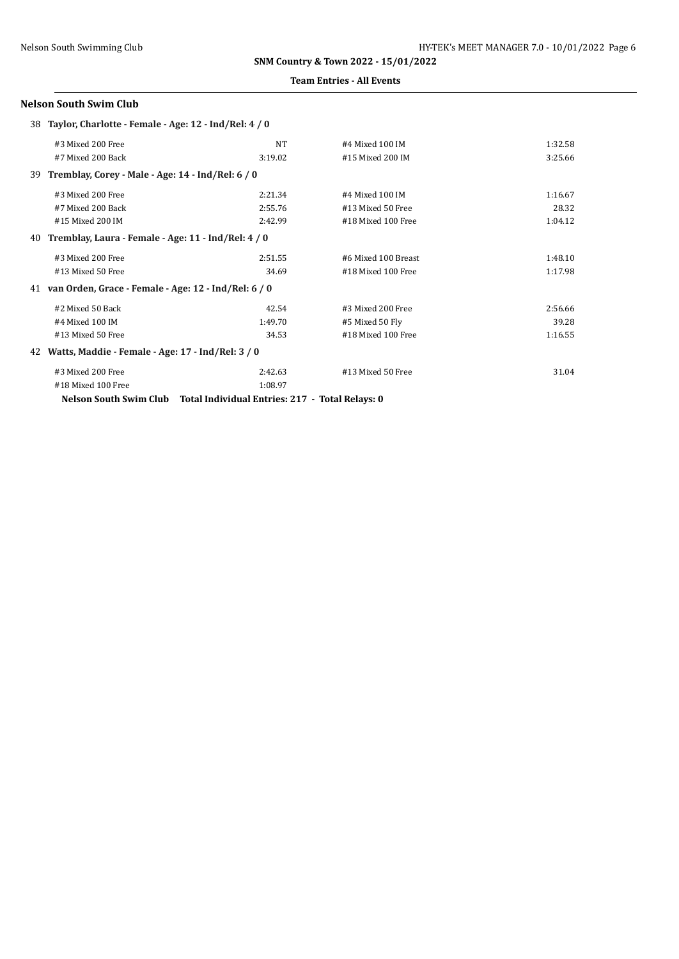#### **Team Entries - All Events**

## **Nelson South Swim Club**

| 38 Taylor, Charlotte - Female - Age: 12 - Ind/Rel: 4 / 0  |                                                 |                     |         |
|-----------------------------------------------------------|-------------------------------------------------|---------------------|---------|
| #3 Mixed 200 Free                                         | NT                                              | #4 Mixed 100 IM     | 1:32.58 |
| #7 Mixed 200 Back                                         | 3:19.02                                         | #15 Mixed 200 IM    | 3:25.66 |
| 39 Tremblay, Corey - Male - Age: 14 - Ind/Rel: 6 / 0      |                                                 |                     |         |
| #3 Mixed 200 Free                                         | 2:21.34                                         | #4 Mixed 100 IM     | 1:16.67 |
| #7 Mixed 200 Back                                         | 2:55.76                                         | #13 Mixed 50 Free   | 28.32   |
| #15 Mixed 200 IM                                          | 2:42.99                                         | #18 Mixed 100 Free  | 1:04.12 |
| Tremblay, Laura - Female - Age: 11 - Ind/Rel: 4 / 0<br>40 |                                                 |                     |         |
| #3 Mixed 200 Free                                         | 2:51.55                                         | #6 Mixed 100 Breast | 1:48.10 |
| #13 Mixed 50 Free                                         | 34.69                                           | #18 Mixed 100 Free  | 1:17.98 |
| 41 van Orden, Grace - Female - Age: 12 - Ind/Rel: 6 / 0   |                                                 |                     |         |
| #2 Mixed 50 Back                                          | 42.54                                           | #3 Mixed 200 Free   | 2:56.66 |
| #4 Mixed 100 IM                                           | 1:49.70                                         | #5 Mixed 50 Fly     | 39.28   |
| #13 Mixed 50 Free                                         | 34.53                                           | #18 Mixed 100 Free  | 1:16.55 |
| 42 Watts, Maddie - Female - Age: 17 - Ind/Rel: 3 / 0      |                                                 |                     |         |
| #3 Mixed 200 Free                                         | 2:42.63                                         | #13 Mixed 50 Free   | 31.04   |
| #18 Mixed 100 Free                                        | 1:08.97                                         |                     |         |
| Nelson South Swim Club                                    | Total Individual Entries: 217 - Total Relays: 0 |                     |         |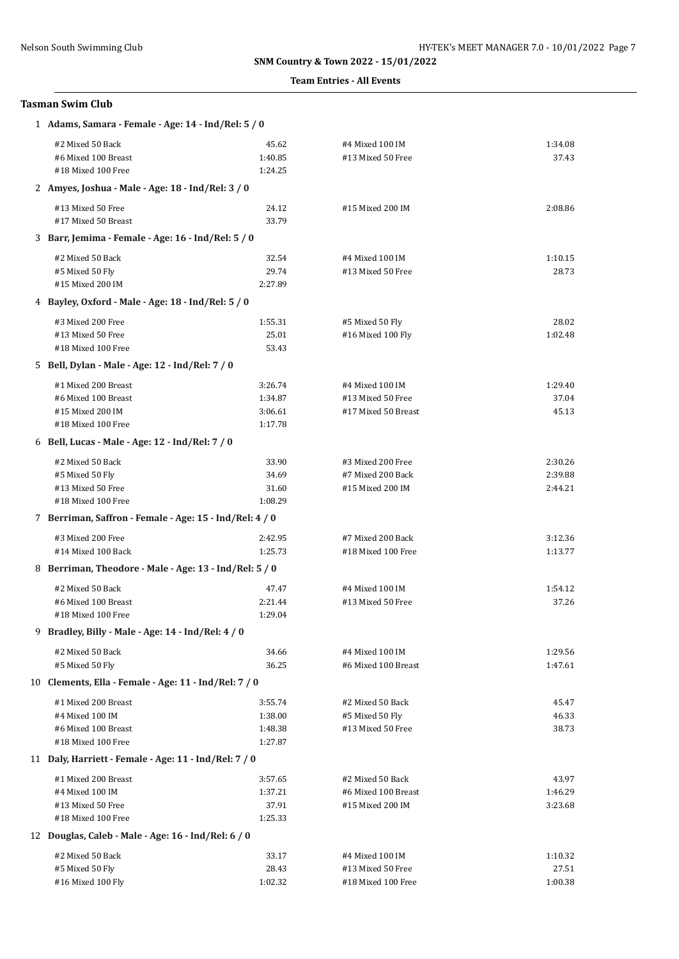#### **Team Entries - All Events**

## **Tasman Swim Club**

| 1 Adams, Samara - Female - Age: 14 - Ind/Rel: 5 / 0     |         |                     |         |
|---------------------------------------------------------|---------|---------------------|---------|
| #2 Mixed 50 Back                                        | 45.62   | #4 Mixed 100 IM     | 1:34.08 |
| #6 Mixed 100 Breast                                     | 1:40.85 | #13 Mixed 50 Free   | 37.43   |
| #18 Mixed 100 Free                                      | 1:24.25 |                     |         |
| 2 Amyes, Joshua - Male - Age: 18 - Ind/Rel: 3 / 0       |         |                     |         |
| #13 Mixed 50 Free                                       | 24.12   | #15 Mixed 200 IM    | 2:08.86 |
| #17 Mixed 50 Breast                                     | 33.79   |                     |         |
| 3 Barr, Jemima - Female - Age: 16 - Ind/Rel: 5 / 0      |         |                     |         |
| #2 Mixed 50 Back                                        | 32.54   | #4 Mixed 100 IM     | 1:10.15 |
| #5 Mixed 50 Fly                                         | 29.74   | #13 Mixed 50 Free   | 28.73   |
| #15 Mixed 200 IM                                        | 2:27.89 |                     |         |
| 4 Bayley, Oxford - Male - Age: 18 - Ind/Rel: 5 / 0      |         |                     |         |
| #3 Mixed 200 Free                                       | 1:55.31 | #5 Mixed 50 Fly     | 28.02   |
| #13 Mixed 50 Free                                       | 25.01   | #16 Mixed 100 Fly   | 1:02.48 |
| #18 Mixed 100 Free                                      | 53.43   |                     |         |
| 5 Bell, Dylan - Male - Age: 12 - Ind/Rel: 7 / 0         |         |                     |         |
| #1 Mixed 200 Breast                                     | 3:26.74 | #4 Mixed 100 IM     | 1:29.40 |
| #6 Mixed 100 Breast                                     | 1:34.87 | #13 Mixed 50 Free   | 37.04   |
| #15 Mixed 200 IM                                        | 3:06.61 | #17 Mixed 50 Breast | 45.13   |
| #18 Mixed 100 Free                                      | 1:17.78 |                     |         |
| 6 Bell, Lucas - Male - Age: 12 - Ind/Rel: 7 / 0         |         |                     |         |
| #2 Mixed 50 Back                                        | 33.90   | #3 Mixed 200 Free   | 2:30.26 |
| #5 Mixed 50 Fly                                         | 34.69   | #7 Mixed 200 Back   | 2:39.88 |
| #13 Mixed 50 Free                                       | 31.60   | #15 Mixed 200 IM    | 2:44.21 |
| #18 Mixed 100 Free                                      | 1:08.29 |                     |         |
| 7 Berriman, Saffron - Female - Age: 15 - Ind/Rel: 4 / 0 |         |                     |         |
| #3 Mixed 200 Free                                       | 2:42.95 | #7 Mixed 200 Back   | 3:12.36 |
| #14 Mixed 100 Back                                      | 1:25.73 | #18 Mixed 100 Free  | 1:13.77 |
| 8 Berriman, Theodore - Male - Age: 13 - Ind/Rel: 5 / 0  |         |                     |         |
| #2 Mixed 50 Back                                        | 47.47   | #4 Mixed 100 IM     | 1:54.12 |
| #6 Mixed 100 Breast                                     | 2:21.44 | #13 Mixed 50 Free   | 37.26   |
| #18 Mixed 100 Free                                      | 1:29.04 |                     |         |
| 9 Bradley, Billy - Male - Age: 14 - Ind/Rel: 4 / 0      |         |                     |         |
| #2 Mixed 50 Back                                        | 34.66   | #4 Mixed 100 IM     | 1:29.56 |
| #5 Mixed 50 Fly                                         | 36.25   | #6 Mixed 100 Breast | 1:47.61 |
| 10 Clements, Ella - Female - Age: 11 - Ind/Rel: 7 / 0   |         |                     |         |
| #1 Mixed 200 Breast                                     | 3:55.74 | #2 Mixed 50 Back    | 45.47   |
| #4 Mixed 100 IM                                         | 1:38.00 | #5 Mixed 50 Fly     | 46.33   |
| #6 Mixed 100 Breast                                     | 1:48.38 | #13 Mixed 50 Free   | 38.73   |
| #18 Mixed 100 Free                                      | 1:27.87 |                     |         |
| 11 Daly, Harriett - Female - Age: 11 - Ind/Rel: 7 / 0   |         |                     |         |
| #1 Mixed 200 Breast                                     | 3:57.65 | #2 Mixed 50 Back    | 43.97   |
| #4 Mixed 100 IM                                         | 1:37.21 | #6 Mixed 100 Breast | 1:46.29 |
| #13 Mixed 50 Free                                       | 37.91   | #15 Mixed 200 IM    | 3:23.68 |
| #18 Mixed 100 Free                                      | 1:25.33 |                     |         |
| 12 Douglas, Caleb - Male - Age: 16 - Ind/Rel: 6 / 0     |         |                     |         |
| #2 Mixed 50 Back                                        | 33.17   | #4 Mixed 100 IM     | 1:10.32 |
| #5 Mixed 50 Fly                                         | 28.43   | #13 Mixed 50 Free   | 27.51   |
| #16 Mixed 100 Fly                                       | 1:02.32 | #18 Mixed 100 Free  | 1:00.38 |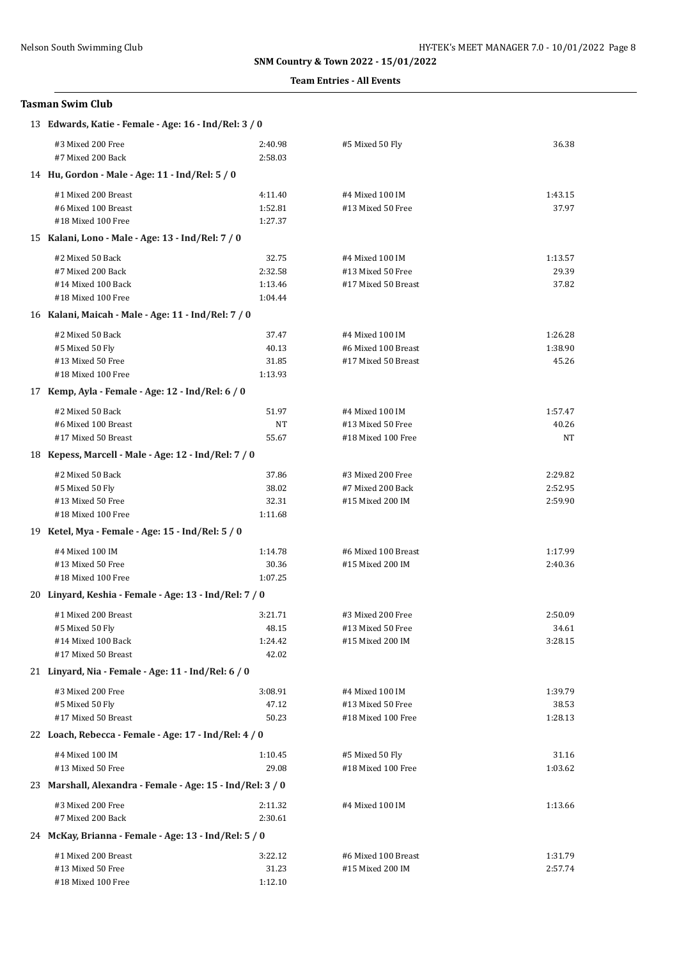### **Team Entries - All Events**

## **Tasman Swim Club**

| 13 Edwards, Katie - Female - Age: 16 - Ind/Rel: 3 / 0      |                    |                                         |                    |  |
|------------------------------------------------------------|--------------------|-----------------------------------------|--------------------|--|
| #3 Mixed 200 Free<br>#7 Mixed 200 Back                     | 2:40.98<br>2:58.03 | #5 Mixed 50 Fly                         | 36.38              |  |
| 14 Hu, Gordon - Male - Age: 11 - Ind/Rel: 5 / 0            |                    |                                         |                    |  |
| #1 Mixed 200 Breast                                        | 4:11.40            | #4 Mixed 100 IM                         | 1:43.15            |  |
| #6 Mixed 100 Breast                                        | 1:52.81            | #13 Mixed 50 Free                       | 37.97              |  |
| #18 Mixed 100 Free                                         | 1:27.37            |                                         |                    |  |
| 15 Kalani, Lono - Male - Age: 13 - Ind/Rel: 7 / 0          |                    |                                         |                    |  |
| #2 Mixed 50 Back                                           | 32.75              | #4 Mixed 100 IM                         | 1:13.57            |  |
| #7 Mixed 200 Back                                          | 2:32.58            | #13 Mixed 50 Free                       | 29.39              |  |
| #14 Mixed 100 Back<br>#18 Mixed 100 Free                   | 1:13.46<br>1:04.44 | #17 Mixed 50 Breast                     | 37.82              |  |
| 16 Kalani, Maicah - Male - Age: 11 - Ind/Rel: 7 / 0        |                    |                                         |                    |  |
|                                                            |                    |                                         |                    |  |
| #2 Mixed 50 Back<br>#5 Mixed 50 Fly                        | 37.47<br>40.13     | #4 Mixed 100 IM<br>#6 Mixed 100 Breast  | 1:26.28<br>1:38.90 |  |
| #13 Mixed 50 Free                                          | 31.85              | #17 Mixed 50 Breast                     | 45.26              |  |
| #18 Mixed 100 Free                                         | 1:13.93            |                                         |                    |  |
| 17 Kemp, Ayla - Female - Age: 12 - Ind/Rel: 6 / 0          |                    |                                         |                    |  |
| #2 Mixed 50 Back                                           | 51.97              | #4 Mixed 100 IM                         | 1:57.47            |  |
| #6 Mixed 100 Breast                                        | NT                 | #13 Mixed 50 Free                       | 40.26              |  |
| #17 Mixed 50 Breast                                        | 55.67              | #18 Mixed 100 Free                      | NT                 |  |
| 18 Kepess, Marcell - Male - Age: 12 - Ind/Rel: 7 / 0       |                    |                                         |                    |  |
| #2 Mixed 50 Back                                           | 37.86              | #3 Mixed 200 Free                       | 2:29.82            |  |
| #5 Mixed 50 Fly                                            | 38.02              | #7 Mixed 200 Back                       | 2:52.95            |  |
| #13 Mixed 50 Free                                          | 32.31              | #15 Mixed 200 IM                        | 2:59.90            |  |
| #18 Mixed 100 Free                                         | 1:11.68            |                                         |                    |  |
| 19 Ketel, Mya - Female - Age: 15 - Ind/Rel: 5 / 0          |                    |                                         |                    |  |
| #4 Mixed 100 IM                                            | 1:14.78            | #6 Mixed 100 Breast                     | 1:17.99            |  |
| #13 Mixed 50 Free                                          | 30.36              | #15 Mixed 200 IM                        | 2:40.36            |  |
| #18 Mixed 100 Free                                         | 1:07.25            |                                         |                    |  |
| 20 Linyard, Keshia - Female - Age: 13 - Ind/Rel: 7 / 0     |                    |                                         |                    |  |
| #1 Mixed 200 Breast                                        | 3:21.71            | #3 Mixed 200 Free                       | 2:50.09            |  |
| #5 Mixed 50 Fly                                            | 48.15              | #13 Mixed 50 Free                       | 34.61              |  |
| #14 Mixed 100 Back<br>#17 Mixed 50 Breast                  | 1:24.42            | #15 Mixed 200 IM                        | 3:28.15            |  |
|                                                            | 42.02              |                                         |                    |  |
| 21 Linyard, Nia - Female - Age: 11 - Ind/Rel: 6 / 0        |                    |                                         |                    |  |
| #3 Mixed 200 Free                                          | 3:08.91            | #4 Mixed 100 IM                         | 1:39.79            |  |
| #5 Mixed 50 Fly<br>#17 Mixed 50 Breast                     | 47.12<br>50.23     | #13 Mixed 50 Free<br>#18 Mixed 100 Free | 38.53<br>1:28.13   |  |
| 22 Loach, Rebecca - Female - Age: 17 - Ind/Rel: 4 / 0      |                    |                                         |                    |  |
|                                                            |                    |                                         |                    |  |
| #4 Mixed 100 IM                                            | 1:10.45            | #5 Mixed 50 Fly                         | 31.16              |  |
| #13 Mixed 50 Free                                          | 29.08              | #18 Mixed 100 Free                      | 1:03.62            |  |
| 23 Marshall, Alexandra - Female - Age: 15 - Ind/Rel: 3 / 0 |                    |                                         |                    |  |
| #3 Mixed 200 Free                                          | 2:11.32            | #4 Mixed 100 IM                         | 1:13.66            |  |
| #7 Mixed 200 Back                                          | 2:30.61            |                                         |                    |  |
| 24 McKay, Brianna - Female - Age: 13 - Ind/Rel: 5 / 0      |                    |                                         |                    |  |
| #1 Mixed 200 Breast                                        | 3:22.12            | #6 Mixed 100 Breast                     | 1:31.79            |  |
| #13 Mixed 50 Free                                          | 31.23              | #15 Mixed 200 IM                        | 2:57.74            |  |
| #18 Mixed 100 Free                                         | 1:12.10            |                                         |                    |  |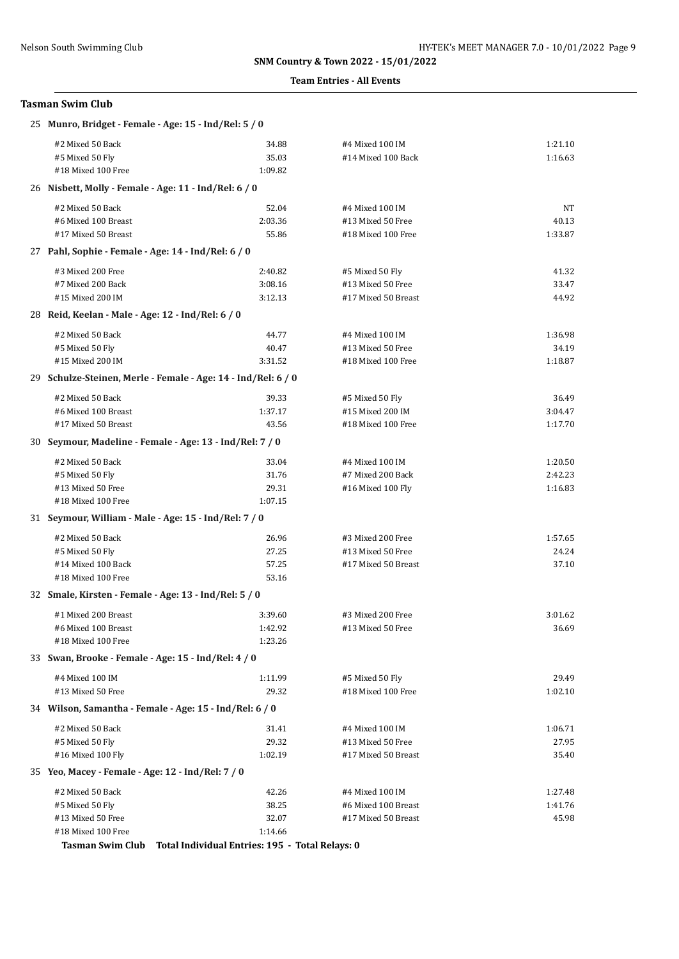### **Team Entries - All Events**

## **Tasman Swim Club**

| 25 Munro, Bridget - Female - Age: 15 - Ind/Rel: 5 / 0         |         |                     |         |  |  |
|---------------------------------------------------------------|---------|---------------------|---------|--|--|
| #2 Mixed 50 Back                                              | 34.88   | #4 Mixed 100 IM     | 1:21.10 |  |  |
| #5 Mixed 50 Fly                                               | 35.03   | #14 Mixed 100 Back  | 1:16.63 |  |  |
| #18 Mixed 100 Free                                            | 1:09.82 |                     |         |  |  |
| 26 Nisbett, Molly - Female - Age: 11 - Ind/Rel: 6 / 0         |         |                     |         |  |  |
| #2 Mixed 50 Back                                              | 52.04   | #4 Mixed 100 IM     | NT      |  |  |
| #6 Mixed 100 Breast                                           | 2:03.36 | #13 Mixed 50 Free   | 40.13   |  |  |
| #17 Mixed 50 Breast                                           | 55.86   | #18 Mixed 100 Free  | 1:33.87 |  |  |
| 27 Pahl, Sophie - Female - Age: 14 - Ind/Rel: 6 / 0           |         |                     |         |  |  |
| #3 Mixed 200 Free                                             | 2:40.82 | #5 Mixed 50 Fly     | 41.32   |  |  |
| #7 Mixed 200 Back                                             | 3:08.16 | #13 Mixed 50 Free   | 33.47   |  |  |
| #15 Mixed 200 IM                                              | 3:12.13 | #17 Mixed 50 Breast | 44.92   |  |  |
| 28 Reid, Keelan - Male - Age: 12 - Ind/Rel: 6 / 0             |         |                     |         |  |  |
| #2 Mixed 50 Back                                              | 44.77   | #4 Mixed 100 IM     | 1:36.98 |  |  |
| #5 Mixed 50 Fly                                               | 40.47   | #13 Mixed 50 Free   | 34.19   |  |  |
| #15 Mixed 200 IM                                              | 3:31.52 | #18 Mixed 100 Free  | 1:18.87 |  |  |
| 29 Schulze-Steinen, Merle - Female - Age: 14 - Ind/Rel: 6 / 0 |         |                     |         |  |  |
| #2 Mixed 50 Back                                              | 39.33   | #5 Mixed 50 Fly     | 36.49   |  |  |
| #6 Mixed 100 Breast                                           | 1:37.17 | #15 Mixed 200 IM    | 3:04.47 |  |  |
| #17 Mixed 50 Breast                                           | 43.56   | #18 Mixed 100 Free  | 1:17.70 |  |  |
| 30 Seymour, Madeline - Female - Age: 13 - Ind/Rel: 7 / 0      |         |                     |         |  |  |
| #2 Mixed 50 Back                                              | 33.04   | #4 Mixed 100 IM     | 1:20.50 |  |  |
| #5 Mixed 50 Fly                                               | 31.76   | #7 Mixed 200 Back   | 2:42.23 |  |  |
| #13 Mixed 50 Free                                             | 29.31   | #16 Mixed 100 Fly   | 1:16.83 |  |  |
| #18 Mixed 100 Free                                            | 1:07.15 |                     |         |  |  |
| 31 Seymour, William - Male - Age: 15 - Ind/Rel: 7 / 0         |         |                     |         |  |  |
| #2 Mixed 50 Back                                              | 26.96   | #3 Mixed 200 Free   | 1:57.65 |  |  |
| #5 Mixed 50 Fly                                               | 27.25   | #13 Mixed 50 Free   | 24.24   |  |  |
| #14 Mixed 100 Back                                            | 57.25   | #17 Mixed 50 Breast | 37.10   |  |  |
| #18 Mixed 100 Free                                            | 53.16   |                     |         |  |  |
| 32 Smale, Kirsten - Female - Age: 13 - Ind/Rel: 5 / 0         |         |                     |         |  |  |
| #1 Mixed 200 Breast                                           | 3:39.60 | #3 Mixed 200 Free   | 3:01.62 |  |  |
| #6 Mixed 100 Breast                                           | 1:42.92 | #13 Mixed 50 Free   | 36.69   |  |  |
| #18 Mixed 100 Free                                            | 1:23.26 |                     |         |  |  |
| 33 Swan, Brooke - Female - Age: 15 - Ind/Rel: 4 / 0           |         |                     |         |  |  |
| #4 Mixed 100 IM                                               | 1:11.99 | #5 Mixed 50 Fly     | 29.49   |  |  |
| #13 Mixed 50 Free                                             | 29.32   | #18 Mixed 100 Free  | 1:02.10 |  |  |
| 34 Wilson, Samantha - Female - Age: 15 - Ind/Rel: 6 / 0       |         |                     |         |  |  |
| #2 Mixed 50 Back                                              | 31.41   | #4 Mixed 100 IM     | 1:06.71 |  |  |
| #5 Mixed 50 Fly                                               | 29.32   | #13 Mixed 50 Free   | 27.95   |  |  |
| #16 Mixed 100 Fly                                             | 1:02.19 | #17 Mixed 50 Breast | 35.40   |  |  |
| 35 Yeo, Macey - Female - Age: 12 - Ind/Rel: 7 / 0             |         |                     |         |  |  |
| #2 Mixed 50 Back                                              | 42.26   | #4 Mixed 100 IM     | 1:27.48 |  |  |
| #5 Mixed 50 Fly                                               | 38.25   | #6 Mixed 100 Breast | 1:41.76 |  |  |
| #13 Mixed 50 Free                                             | 32.07   | #17 Mixed 50 Breast | 45.98   |  |  |
| #18 Mixed 100 Free                                            | 1:14.66 |                     |         |  |  |

**Tasman Swim Club Total Individual Entries: 195 - Total Relays: 0**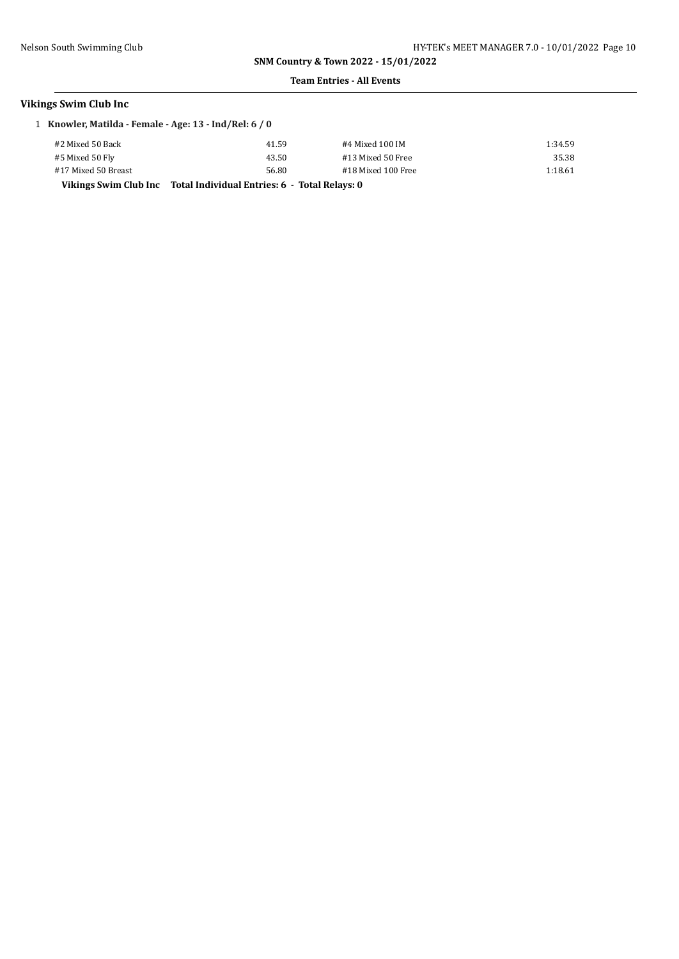### **Team Entries - All Events**

## **Vikings Swim Club Inc**

1 **Knowler, Matilda - Female - Age: 13 - Ind/Rel: 6 / 0**

| #2 Mixed 50 Back    | 41.59                                                               | #4 Mixed 100 IM    | 1:34.59 |
|---------------------|---------------------------------------------------------------------|--------------------|---------|
| #5 Mixed 50 Fly     | 43.50                                                               | #13 Mixed 50 Free  | 35.38   |
| #17 Mixed 50 Breast | 56.80                                                               | #18 Mixed 100 Free | 1:18.61 |
|                     | Vikings Swim Club Inc Total Individual Entries: 6 - Total Relays: 0 |                    |         |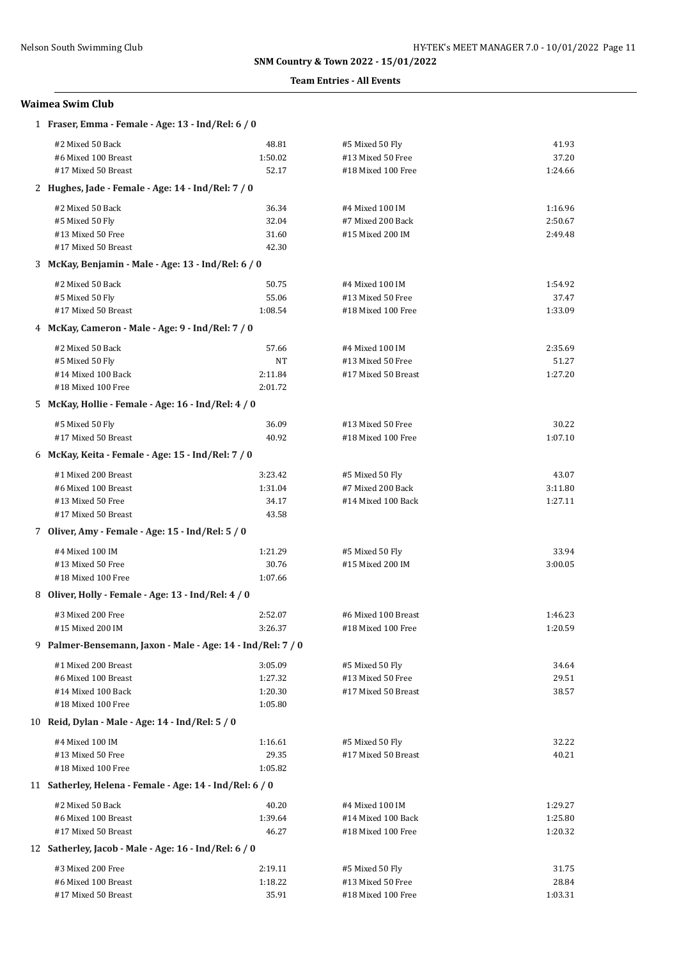### **Team Entries - All Events**

## **Waimea Swim Club**

| 1 Fraser, Emma - Female - Age: 13 - Ind/Rel: 6 / 0          |         |                     |         |
|-------------------------------------------------------------|---------|---------------------|---------|
| #2 Mixed 50 Back                                            | 48.81   | #5 Mixed 50 Fly     | 41.93   |
| #6 Mixed 100 Breast                                         | 1:50.02 | #13 Mixed 50 Free   | 37.20   |
| #17 Mixed 50 Breast                                         | 52.17   | #18 Mixed 100 Free  | 1:24.66 |
| 2 Hughes, Jade - Female - Age: 14 - Ind/Rel: 7 / 0          |         |                     |         |
| #2 Mixed 50 Back                                            | 36.34   | #4 Mixed 100 IM     | 1:16.96 |
| #5 Mixed 50 Fly                                             | 32.04   | #7 Mixed 200 Back   | 2:50.67 |
| #13 Mixed 50 Free                                           | 31.60   | #15 Mixed 200 IM    | 2:49.48 |
| #17 Mixed 50 Breast                                         | 42.30   |                     |         |
| 3 McKay, Benjamin - Male - Age: 13 - Ind/Rel: 6 / 0         |         |                     |         |
| #2 Mixed 50 Back                                            | 50.75   | #4 Mixed 100 IM     | 1:54.92 |
| #5 Mixed 50 Fly                                             | 55.06   | #13 Mixed 50 Free   | 37.47   |
| #17 Mixed 50 Breast                                         | 1:08.54 | #18 Mixed 100 Free  | 1:33.09 |
| 4 McKay, Cameron - Male - Age: 9 - Ind/Rel: 7 / 0           |         |                     |         |
| #2 Mixed 50 Back                                            | 57.66   | #4 Mixed 100 IM     | 2:35.69 |
| #5 Mixed 50 Fly                                             | NT      | #13 Mixed 50 Free   | 51.27   |
| #14 Mixed 100 Back                                          | 2:11.84 | #17 Mixed 50 Breast | 1:27.20 |
| #18 Mixed 100 Free                                          | 2:01.72 |                     |         |
| 5 McKay, Hollie - Female - Age: 16 - Ind/Rel: 4 / 0         |         |                     |         |
| #5 Mixed 50 Fly                                             | 36.09   | #13 Mixed 50 Free   | 30.22   |
| #17 Mixed 50 Breast                                         | 40.92   | #18 Mixed 100 Free  | 1:07.10 |
| 6 McKay, Keita - Female - Age: 15 - Ind/Rel: 7 / 0          |         |                     |         |
| #1 Mixed 200 Breast                                         | 3:23.42 | #5 Mixed 50 Fly     | 43.07   |
| #6 Mixed 100 Breast                                         | 1:31.04 | #7 Mixed 200 Back   | 3:11.80 |
| #13 Mixed 50 Free                                           | 34.17   | #14 Mixed 100 Back  | 1:27.11 |
| #17 Mixed 50 Breast                                         | 43.58   |                     |         |
| 7 Oliver, Amy - Female - Age: 15 - Ind/Rel: 5 / 0           |         |                     |         |
| #4 Mixed 100 IM                                             | 1:21.29 | #5 Mixed 50 Fly     | 33.94   |
| #13 Mixed 50 Free                                           | 30.76   | #15 Mixed 200 IM    | 3:00.05 |
| #18 Mixed 100 Free                                          | 1:07.66 |                     |         |
| 8 Oliver, Holly - Female - Age: 13 - Ind/Rel: 4 / 0         |         |                     |         |
| #3 Mixed 200 Free                                           | 2:52.07 | #6 Mixed 100 Breast | 1:46.23 |
| #15 Mixed 200 IM                                            | 3:26.37 | #18 Mixed 100 Free  | 1:20.59 |
| 9 Palmer-Bensemann, Jaxon - Male - Age: 14 - Ind/Rel: 7 / 0 |         |                     |         |
| #1 Mixed 200 Breast                                         | 3:05.09 | #5 Mixed 50 Fly     | 34.64   |
| #6 Mixed 100 Breast                                         | 1:27.32 | #13 Mixed 50 Free   | 29.51   |
| #14 Mixed 100 Back                                          | 1:20.30 | #17 Mixed 50 Breast | 38.57   |
| #18 Mixed 100 Free                                          | 1:05.80 |                     |         |
| 10 Reid, Dylan - Male - Age: 14 - Ind/Rel: 5 / 0            |         |                     |         |
| #4 Mixed 100 IM                                             | 1:16.61 | #5 Mixed 50 Fly     | 32.22   |
| #13 Mixed 50 Free                                           | 29.35   | #17 Mixed 50 Breast | 40.21   |
| #18 Mixed 100 Free                                          | 1:05.82 |                     |         |
| 11 Satherley, Helena - Female - Age: 14 - Ind/Rel: 6 / 0    |         |                     |         |
| #2 Mixed 50 Back                                            | 40.20   | #4 Mixed 100 IM     | 1:29.27 |
| #6 Mixed 100 Breast                                         | 1:39.64 | #14 Mixed 100 Back  | 1:25.80 |
| #17 Mixed 50 Breast                                         | 46.27   | #18 Mixed 100 Free  | 1:20.32 |
| 12 Satherley, Jacob - Male - Age: 16 - Ind/Rel: 6 / 0       |         |                     |         |
| #3 Mixed 200 Free                                           | 2:19.11 | #5 Mixed 50 Fly     | 31.75   |
| #6 Mixed 100 Breast                                         | 1:18.22 | #13 Mixed 50 Free   | 28.84   |
| #17 Mixed 50 Breast                                         | 35.91   | #18 Mixed 100 Free  | 1:03.31 |